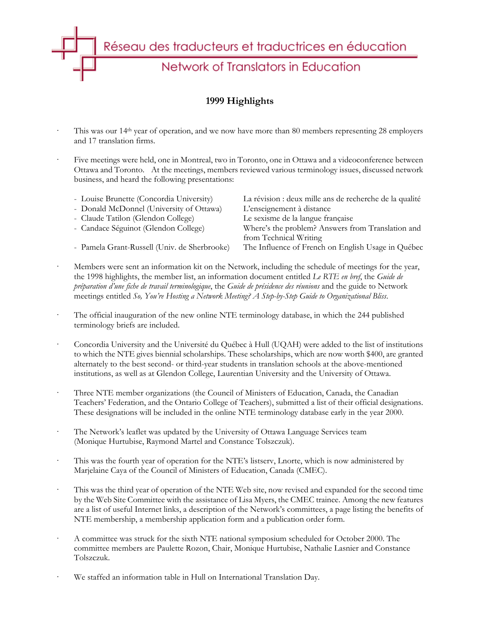

## **1999 Highlights**

- This was our 14<sup>th</sup> year of operation, and we now have more than 80 members representing 28 employers and 17 translation firms.
- Five meetings were held, one in Montreal, two in Toronto, one in Ottawa and a videoconference between Ottawa and Toronto. At the meetings, members reviewed various terminology issues, discussed network business, and heard the following presentations:

| - Louise Brunette (Concordia University)     | La révision : deux mille ans de recherche de la qualité |
|----------------------------------------------|---------------------------------------------------------|
| - Donald McDonnel (University of Ottawa)     | L'enseignement à distance                               |
| - Claude Tatilon (Glendon College)           | Le sexisme de la langue française                       |
| - Candace Séguinot (Glendon College)         | Where's the problem? Answers from Translation and       |
|                                              | from Technical Writing                                  |
| - Pamela Grant-Russell (Univ. de Sherbrooke) | The Influence of French on English Usage in Québec      |
|                                              |                                                         |

- Members were sent an information kit on the Network, including the schedule of meetings for the year, the 1998 highlights, the member list, an information document entitled *Le RTE en bref*, the *Guide de préparation d'une fiche de travail terminologique*, the *Guide de présidence des réunions* and the guide to Network meetings entitled *So, You're Hosting a Network Meeting? A Step-by-Step Guide to Organizational Bliss*.
- The official inauguration of the new online NTE terminology database, in which the 244 published terminology briefs are included.
- Concordia University and the Université du Québec à Hull (UQAH) were added to the list of institutions to which the NTE gives biennial scholarships. These scholarships, which are now worth \$400, are granted alternately to the best second- or third-year students in translation schools at the above-mentioned institutions, as well as at Glendon College, Laurentian University and the University of Ottawa.
- · Three NTE member organizations (the Council of Ministers of Education, Canada, the Canadian Teachers' Federation, and the Ontario College of Teachers), submitted a list of their official designations. These designations will be included in the online NTE terminology database early in the year 2000.
- The Network's leaflet was updated by the University of Ottawa Language Services team (Monique Hurtubise, Raymond Martel and Constance Tolszczuk).
- This was the fourth year of operation for the NTE's listserv, Lnorte, which is now administered by Marjelaine Caya of the Council of Ministers of Education, Canada (CMEC).
- This was the third year of operation of the NTE Web site, now revised and expanded for the second time by the Web Site Committee with the assistance of Lisa Myers, the CMEC trainee. Among the new features are a list of useful Internet links, a description of the Network's committees, a page listing the benefits of NTE membership, a membership application form and a publication order form.
- · A committee was struck for the sixth NTE national symposium scheduled for October 2000. The committee members are Paulette Rozon, Chair, Monique Hurtubise, Nathalie Lasnier and Constance Tolszczuk.
- We staffed an information table in Hull on International Translation Day.